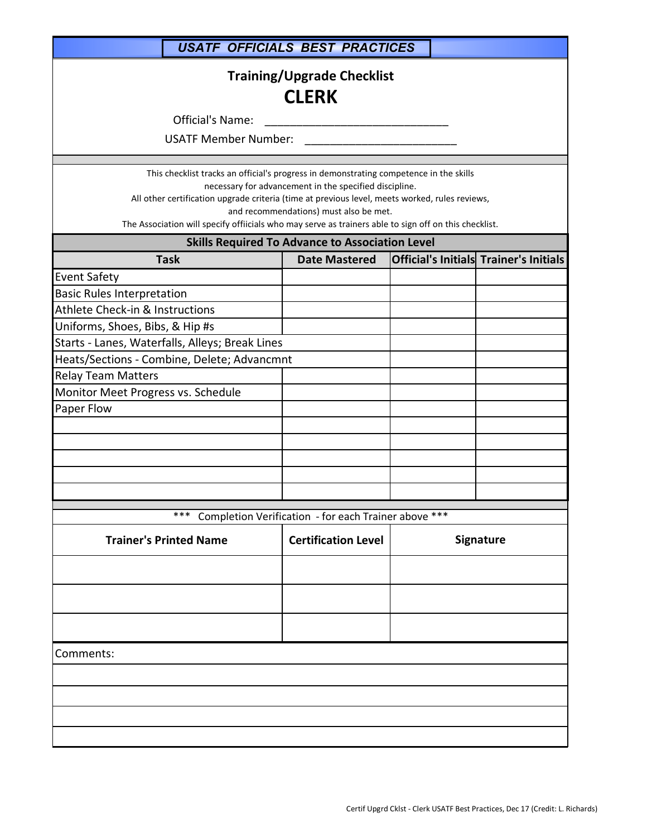|                                                                                                                                                                                                                                                                                                                          | <b>USATF OFFICIALS BEST PRACTICES</b>                                                            |  |                                               |  |
|--------------------------------------------------------------------------------------------------------------------------------------------------------------------------------------------------------------------------------------------------------------------------------------------------------------------------|--------------------------------------------------------------------------------------------------|--|-----------------------------------------------|--|
| <b>Training/Upgrade Checklist</b><br><b>CLERK</b><br>Official's Name:<br><b>USATF Member Number:</b>                                                                                                                                                                                                                     |                                                                                                  |  |                                               |  |
|                                                                                                                                                                                                                                                                                                                          |                                                                                                  |  |                                               |  |
| This checklist tracks an official's progress in demonstrating competence in the skills<br>All other certification upgrade criteria (time at previous level, meets worked, rules reviews,<br>The Association will specify offiicials who may serve as trainers able to sign off on this checklist.                        | necessary for advancement in the specified discipline.<br>and recommendations) must also be met. |  |                                               |  |
|                                                                                                                                                                                                                                                                                                                          | <b>Skills Required To Advance to Association Level</b>                                           |  |                                               |  |
| <b>Task</b>                                                                                                                                                                                                                                                                                                              | <b>Date Mastered</b>                                                                             |  | <b>Official's Initials Trainer's Initials</b> |  |
| <b>Event Safety</b><br><b>Basic Rules Interpretation</b><br>Athlete Check-in & Instructions<br>Uniforms, Shoes, Bibs, & Hip #s<br>Starts - Lanes, Waterfalls, Alleys; Break Lines<br>Heats/Sections - Combine, Delete; Advancmnt<br><b>Relay Team Matters</b><br>Monitor Meet Progress vs. Schedule<br>Paper Flow<br>*** |                                                                                                  |  |                                               |  |
| <b>Trainer's Printed Name</b>                                                                                                                                                                                                                                                                                            | Completion Verification - for each Trainer above ***<br><b>Certification Level</b>               |  | Signature                                     |  |
| Comments:                                                                                                                                                                                                                                                                                                                |                                                                                                  |  |                                               |  |
|                                                                                                                                                                                                                                                                                                                          |                                                                                                  |  |                                               |  |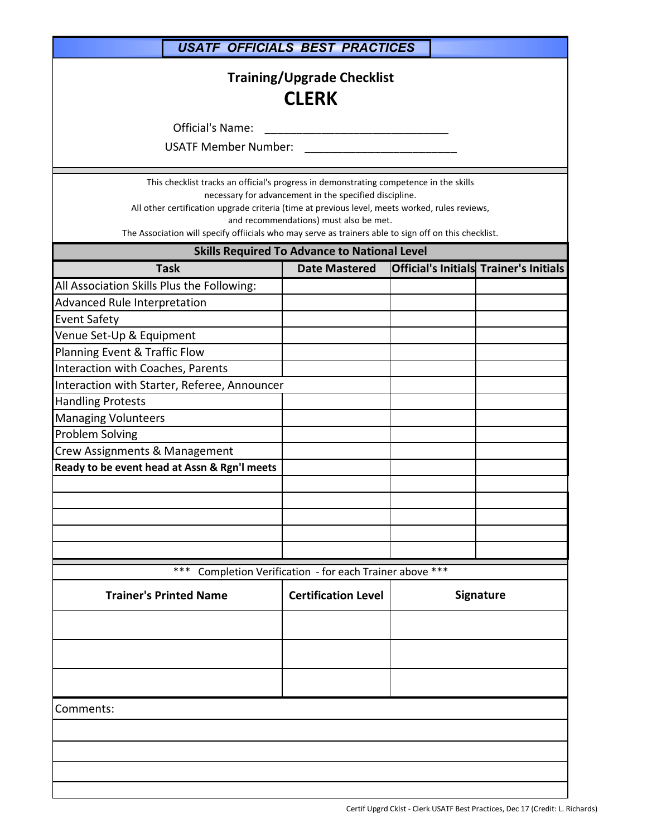|                                                                                                                                                                                                                                                                                                   | <b>USATF OFFICIALS BEST PRACTICES</b>                                                            |                  |                                        |  |  |
|---------------------------------------------------------------------------------------------------------------------------------------------------------------------------------------------------------------------------------------------------------------------------------------------------|--------------------------------------------------------------------------------------------------|------------------|----------------------------------------|--|--|
| <b>Training/Upgrade Checklist</b><br><b>CLERK</b><br>Official's Name:                                                                                                                                                                                                                             |                                                                                                  |                  |                                        |  |  |
| <b>USATF Member Number:</b>                                                                                                                                                                                                                                                                       |                                                                                                  |                  |                                        |  |  |
| This checklist tracks an official's progress in demonstrating competence in the skills<br>All other certification upgrade criteria (time at previous level, meets worked, rules reviews,<br>The Association will specify offiicials who may serve as trainers able to sign off on this checklist. | necessary for advancement in the specified discipline.<br>and recommendations) must also be met. |                  |                                        |  |  |
|                                                                                                                                                                                                                                                                                                   | <b>Skills Required To Advance to National Level</b>                                              |                  |                                        |  |  |
| <b>Task</b>                                                                                                                                                                                                                                                                                       | <b>Date Mastered</b>                                                                             |                  | Official's Initials Trainer's Initials |  |  |
| All Association Skills Plus the Following:                                                                                                                                                                                                                                                        |                                                                                                  |                  |                                        |  |  |
| Advanced Rule Interpretation                                                                                                                                                                                                                                                                      |                                                                                                  |                  |                                        |  |  |
| <b>Event Safety</b>                                                                                                                                                                                                                                                                               |                                                                                                  |                  |                                        |  |  |
| Venue Set-Up & Equipment                                                                                                                                                                                                                                                                          |                                                                                                  |                  |                                        |  |  |
| Planning Event & Traffic Flow                                                                                                                                                                                                                                                                     |                                                                                                  |                  |                                        |  |  |
| Interaction with Coaches, Parents                                                                                                                                                                                                                                                                 |                                                                                                  |                  |                                        |  |  |
| Interaction with Starter, Referee, Announcer                                                                                                                                                                                                                                                      |                                                                                                  |                  |                                        |  |  |
| <b>Handling Protests</b>                                                                                                                                                                                                                                                                          |                                                                                                  |                  |                                        |  |  |
| <b>Managing Volunteers</b>                                                                                                                                                                                                                                                                        |                                                                                                  |                  |                                        |  |  |
| <b>Problem Solving</b>                                                                                                                                                                                                                                                                            |                                                                                                  |                  |                                        |  |  |
| Crew Assignments & Management                                                                                                                                                                                                                                                                     |                                                                                                  |                  |                                        |  |  |
| Ready to be event head at Assn & Rgn'l meets                                                                                                                                                                                                                                                      |                                                                                                  |                  |                                        |  |  |
|                                                                                                                                                                                                                                                                                                   |                                                                                                  |                  |                                        |  |  |
|                                                                                                                                                                                                                                                                                                   |                                                                                                  |                  |                                        |  |  |
|                                                                                                                                                                                                                                                                                                   |                                                                                                  |                  |                                        |  |  |
|                                                                                                                                                                                                                                                                                                   |                                                                                                  |                  |                                        |  |  |
|                                                                                                                                                                                                                                                                                                   |                                                                                                  |                  |                                        |  |  |
| ***                                                                                                                                                                                                                                                                                               | Completion Verification - for each Trainer above ***                                             |                  |                                        |  |  |
| <b>Trainer's Printed Name</b>                                                                                                                                                                                                                                                                     | <b>Certification Level</b>                                                                       | <b>Signature</b> |                                        |  |  |
|                                                                                                                                                                                                                                                                                                   |                                                                                                  |                  |                                        |  |  |
|                                                                                                                                                                                                                                                                                                   |                                                                                                  |                  |                                        |  |  |
|                                                                                                                                                                                                                                                                                                   |                                                                                                  |                  |                                        |  |  |
| Comments:                                                                                                                                                                                                                                                                                         |                                                                                                  |                  |                                        |  |  |
|                                                                                                                                                                                                                                                                                                   |                                                                                                  |                  |                                        |  |  |
|                                                                                                                                                                                                                                                                                                   |                                                                                                  |                  |                                        |  |  |
|                                                                                                                                                                                                                                                                                                   |                                                                                                  |                  |                                        |  |  |
|                                                                                                                                                                                                                                                                                                   |                                                                                                  |                  |                                        |  |  |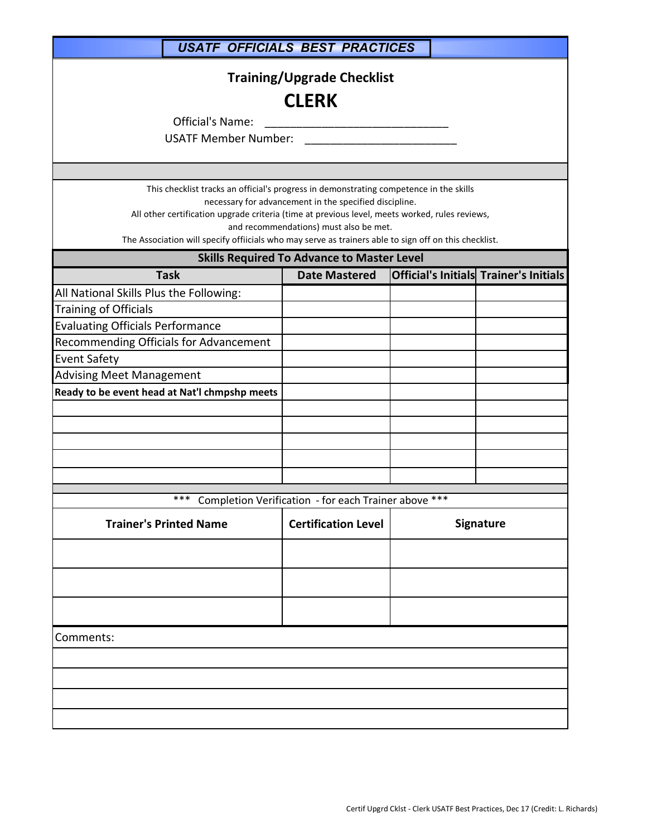| <b>USATF OFFICIALS BEST PRACTICES</b>                                                                                                                                                                                                                                                                             |                                                                                                                                                       |  |                  |  |
|-------------------------------------------------------------------------------------------------------------------------------------------------------------------------------------------------------------------------------------------------------------------------------------------------------------------|-------------------------------------------------------------------------------------------------------------------------------------------------------|--|------------------|--|
| <b>Training/Upgrade Checklist</b><br><b>CLERK</b><br><b>Official's Name:</b><br><b>USATF Member Number:</b>                                                                                                                                                                                                       |                                                                                                                                                       |  |                  |  |
| This checklist tracks an official's progress in demonstrating competence in the skills<br>All other certification upgrade criteria (time at previous level, meets worked, rules reviews,<br>The Association will specify offiicials who may serve as trainers able to sign off on this checklist.                 | necessary for advancement in the specified discipline.<br>and recommendations) must also be met.<br><b>Skills Required To Advance to Master Level</b> |  |                  |  |
| <b>Task</b>                                                                                                                                                                                                                                                                                                       | <b>Date Mastered</b>                                                                                                                                  |  |                  |  |
| <b>Official's Initials Trainer's Initials</b><br>All National Skills Plus the Following:<br>Training of Officials<br><b>Evaluating Officials Performance</b><br>Recommending Officials for Advancement<br><b>Event Safety</b><br><b>Advising Meet Management</b><br>Ready to be event head at Nat'l chmpshp meets |                                                                                                                                                       |  |                  |  |
| ***                                                                                                                                                                                                                                                                                                               | Completion Verification - for each Trainer above ***                                                                                                  |  |                  |  |
| <b>Trainer's Printed Name</b>                                                                                                                                                                                                                                                                                     | <b>Certification Level</b>                                                                                                                            |  | <b>Signature</b> |  |
| Comments:                                                                                                                                                                                                                                                                                                         |                                                                                                                                                       |  |                  |  |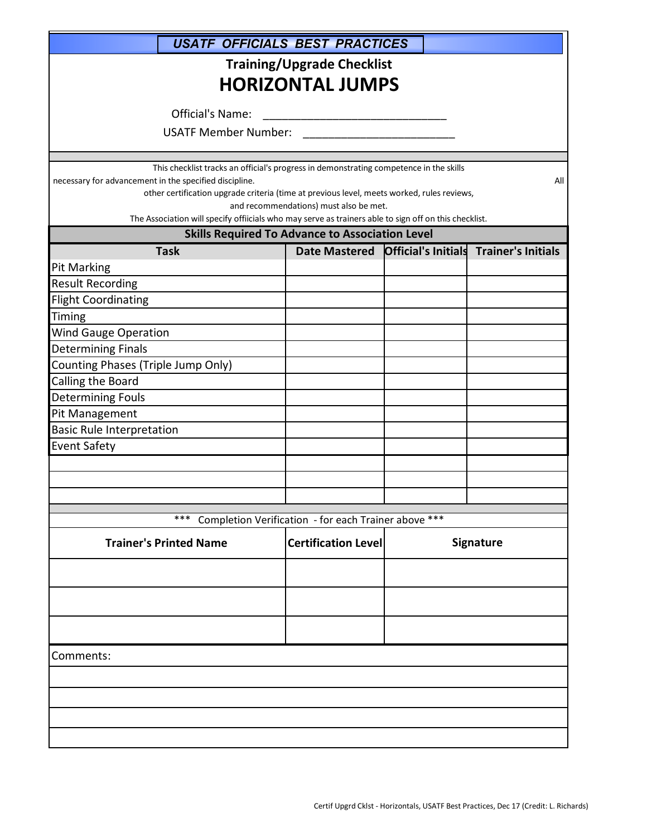| <b>USATF OFFICIALS BEST PRACTICES</b>                                                                                                                |                                                        |                                        |
|------------------------------------------------------------------------------------------------------------------------------------------------------|--------------------------------------------------------|----------------------------------------|
|                                                                                                                                                      | <b>Training/Upgrade Checklist</b>                      |                                        |
|                                                                                                                                                      | <b>HORIZONTAL JUMPS</b>                                |                                        |
|                                                                                                                                                      |                                                        |                                        |
| Official's Name:                                                                                                                                     |                                                        |                                        |
| <b>USATF Member Number:</b>                                                                                                                          |                                                        |                                        |
|                                                                                                                                                      |                                                        |                                        |
| This checklist tracks an official's progress in demonstrating competence in the skills                                                               |                                                        |                                        |
| necessary for advancement in the specified discipline.<br>other certification upgrade criteria (time at previous level, meets worked, rules reviews, |                                                        | All                                    |
|                                                                                                                                                      | and recommendations) must also be met.                 |                                        |
| The Association will specify offiicials who may serve as trainers able to sign off on this checklist.                                                |                                                        |                                        |
|                                                                                                                                                      | <b>Skills Required To Advance to Association Level</b> |                                        |
| <b>Task</b>                                                                                                                                          | <b>Date Mastered</b>                                   | Official's Initials Trainer's Initials |
| <b>Pit Marking</b>                                                                                                                                   |                                                        |                                        |
| <b>Result Recording</b><br><b>Flight Coordinating</b>                                                                                                |                                                        |                                        |
| Timing                                                                                                                                               |                                                        |                                        |
| <b>Wind Gauge Operation</b>                                                                                                                          |                                                        |                                        |
| <b>Determining Finals</b>                                                                                                                            |                                                        |                                        |
| Counting Phases (Triple Jump Only)                                                                                                                   |                                                        |                                        |
| Calling the Board                                                                                                                                    |                                                        |                                        |
| <b>Determining Fouls</b>                                                                                                                             |                                                        |                                        |
| Pit Management                                                                                                                                       |                                                        |                                        |
| <b>Basic Rule Interpretation</b>                                                                                                                     |                                                        |                                        |
| <b>Event Safety</b>                                                                                                                                  |                                                        |                                        |
|                                                                                                                                                      |                                                        |                                        |
|                                                                                                                                                      |                                                        |                                        |
|                                                                                                                                                      |                                                        |                                        |
| ***                                                                                                                                                  | Completion Verification - for each Trainer above ***   |                                        |
| <b>Trainer's Printed Name</b>                                                                                                                        | <b>Certification Level</b>                             | Signature                              |
|                                                                                                                                                      |                                                        |                                        |
|                                                                                                                                                      |                                                        |                                        |
|                                                                                                                                                      |                                                        |                                        |
| Comments:                                                                                                                                            |                                                        |                                        |
|                                                                                                                                                      |                                                        |                                        |
|                                                                                                                                                      |                                                        |                                        |
|                                                                                                                                                      |                                                        |                                        |
|                                                                                                                                                      |                                                        |                                        |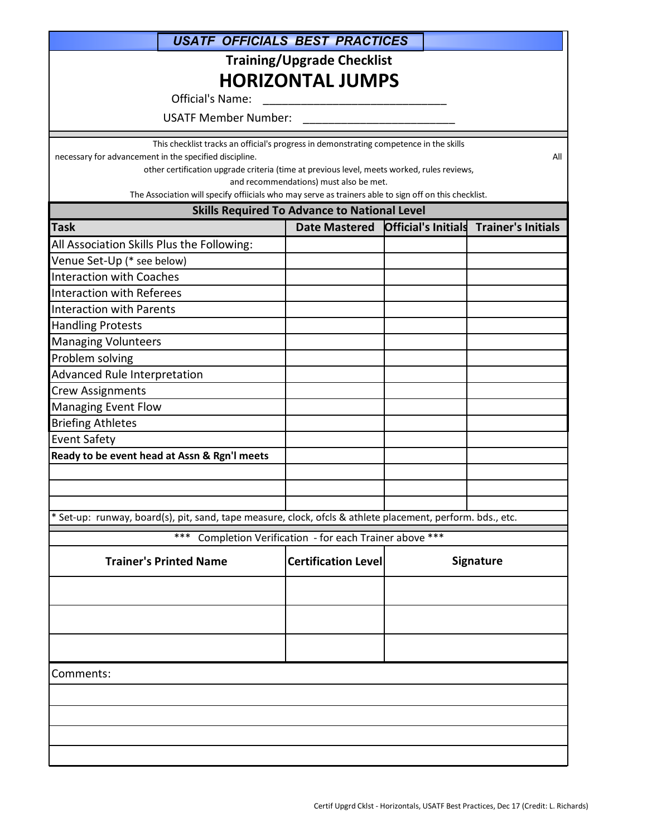| <b>USATF OFFICIALS BEST PRACTICES</b>                                                                                                                |                                                      |  |                                                      |  |  |  |
|------------------------------------------------------------------------------------------------------------------------------------------------------|------------------------------------------------------|--|------------------------------------------------------|--|--|--|
|                                                                                                                                                      |                                                      |  |                                                      |  |  |  |
|                                                                                                                                                      | <b>Training/Upgrade Checklist</b>                    |  |                                                      |  |  |  |
|                                                                                                                                                      | <b>HORIZONTAL JUMPS</b>                              |  |                                                      |  |  |  |
| Official's Name:                                                                                                                                     |                                                      |  |                                                      |  |  |  |
| <b>USATF Member Number:</b>                                                                                                                          |                                                      |  |                                                      |  |  |  |
| This checklist tracks an official's progress in demonstrating competence in the skills                                                               |                                                      |  |                                                      |  |  |  |
| necessary for advancement in the specified discipline.<br>other certification upgrade criteria (time at previous level, meets worked, rules reviews, |                                                      |  | All                                                  |  |  |  |
|                                                                                                                                                      | and recommendations) must also be met.               |  |                                                      |  |  |  |
| The Association will specify offiicials who may serve as trainers able to sign off on this checklist.                                                |                                                      |  |                                                      |  |  |  |
|                                                                                                                                                      | <b>Skills Required To Advance to National Level</b>  |  |                                                      |  |  |  |
| <b>Task</b>                                                                                                                                          |                                                      |  | Date Mastered Official's Initials Trainer's Initials |  |  |  |
| All Association Skills Plus the Following:                                                                                                           |                                                      |  |                                                      |  |  |  |
| Venue Set-Up (* see below)                                                                                                                           |                                                      |  |                                                      |  |  |  |
| <b>Interaction with Coaches</b>                                                                                                                      |                                                      |  |                                                      |  |  |  |
| Interaction with Referees                                                                                                                            |                                                      |  |                                                      |  |  |  |
| <b>Interaction with Parents</b>                                                                                                                      |                                                      |  |                                                      |  |  |  |
| <b>Handling Protests</b>                                                                                                                             |                                                      |  |                                                      |  |  |  |
| <b>Managing Volunteers</b>                                                                                                                           |                                                      |  |                                                      |  |  |  |
| Problem solving                                                                                                                                      |                                                      |  |                                                      |  |  |  |
| Advanced Rule Interpretation                                                                                                                         |                                                      |  |                                                      |  |  |  |
| <b>Crew Assignments</b>                                                                                                                              |                                                      |  |                                                      |  |  |  |
| <b>Managing Event Flow</b><br><b>Briefing Athletes</b>                                                                                               |                                                      |  |                                                      |  |  |  |
| <b>Event Safety</b>                                                                                                                                  |                                                      |  |                                                      |  |  |  |
| Ready to be event head at Assn & Rgn'l meets                                                                                                         |                                                      |  |                                                      |  |  |  |
|                                                                                                                                                      |                                                      |  |                                                      |  |  |  |
|                                                                                                                                                      |                                                      |  |                                                      |  |  |  |
|                                                                                                                                                      |                                                      |  |                                                      |  |  |  |
| * Set-up: runway, board(s), pit, sand, tape measure, clock, ofcls & athlete placement, perform. bds., etc.                                           |                                                      |  |                                                      |  |  |  |
| $***$                                                                                                                                                | Completion Verification - for each Trainer above *** |  |                                                      |  |  |  |
| <b>Trainer's Printed Name</b>                                                                                                                        | <b>Certification Level</b>                           |  | Signature                                            |  |  |  |
|                                                                                                                                                      |                                                      |  |                                                      |  |  |  |
|                                                                                                                                                      |                                                      |  |                                                      |  |  |  |
|                                                                                                                                                      |                                                      |  |                                                      |  |  |  |
|                                                                                                                                                      |                                                      |  |                                                      |  |  |  |
| Comments:                                                                                                                                            |                                                      |  |                                                      |  |  |  |
|                                                                                                                                                      |                                                      |  |                                                      |  |  |  |
|                                                                                                                                                      |                                                      |  |                                                      |  |  |  |
|                                                                                                                                                      |                                                      |  |                                                      |  |  |  |
|                                                                                                                                                      |                                                      |  |                                                      |  |  |  |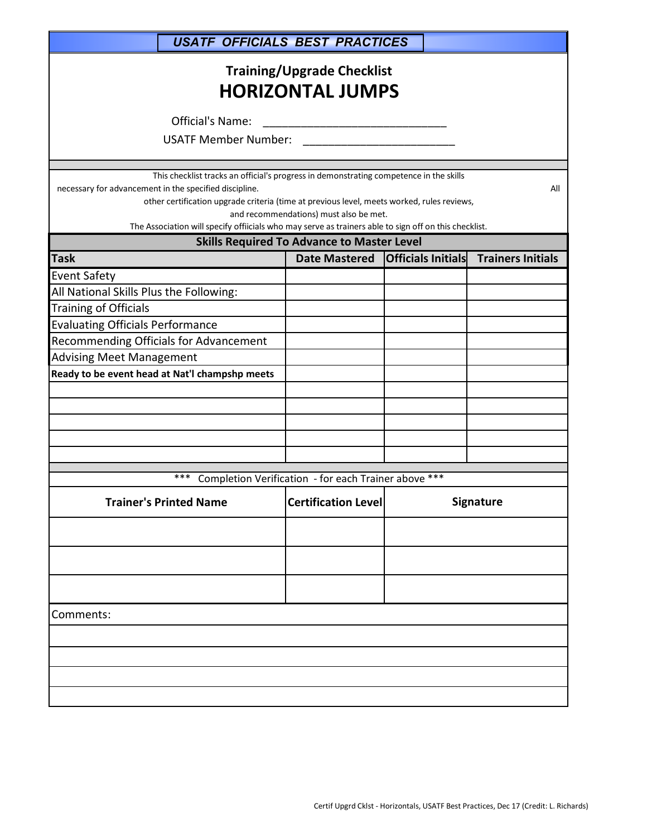| <b>USATF OFFICIALS BEST PRACTICES</b>                            |                                                                                                                                                                                                                                                                                                                                                |                           |                          |  |  |  |
|------------------------------------------------------------------|------------------------------------------------------------------------------------------------------------------------------------------------------------------------------------------------------------------------------------------------------------------------------------------------------------------------------------------------|---------------------------|--------------------------|--|--|--|
| <b>Training/Upgrade Checklist</b><br><b>HORIZONTAL JUMPS</b>     |                                                                                                                                                                                                                                                                                                                                                |                           |                          |  |  |  |
| Official's Name:                                                 |                                                                                                                                                                                                                                                                                                                                                |                           |                          |  |  |  |
| <b>USATF Member Number:</b>                                      |                                                                                                                                                                                                                                                                                                                                                |                           |                          |  |  |  |
|                                                                  |                                                                                                                                                                                                                                                                                                                                                |                           |                          |  |  |  |
| necessary for advancement in the specified discipline.           | This checklist tracks an official's progress in demonstrating competence in the skills<br>All<br>other certification upgrade criteria (time at previous level, meets worked, rules reviews,<br>and recommendations) must also be met.<br>The Association will specify offiicials who may serve as trainers able to sign off on this checklist. |                           |                          |  |  |  |
|                                                                  | <b>Skills Required To Advance to Master Level</b>                                                                                                                                                                                                                                                                                              |                           |                          |  |  |  |
| <b>Task</b>                                                      | <b>Date Mastered</b>                                                                                                                                                                                                                                                                                                                           | <b>Officials Initials</b> | <b>Trainers Initials</b> |  |  |  |
| <b>Event Safety</b>                                              |                                                                                                                                                                                                                                                                                                                                                |                           |                          |  |  |  |
| All National Skills Plus the Following:<br>Training of Officials |                                                                                                                                                                                                                                                                                                                                                |                           |                          |  |  |  |
| <b>Evaluating Officials Performance</b>                          |                                                                                                                                                                                                                                                                                                                                                |                           |                          |  |  |  |
| Recommending Officials for Advancement                           |                                                                                                                                                                                                                                                                                                                                                |                           |                          |  |  |  |
| <b>Advising Meet Management</b>                                  |                                                                                                                                                                                                                                                                                                                                                |                           |                          |  |  |  |
| Ready to be event head at Nat'l champshp meets                   |                                                                                                                                                                                                                                                                                                                                                |                           |                          |  |  |  |
|                                                                  |                                                                                                                                                                                                                                                                                                                                                |                           |                          |  |  |  |
|                                                                  |                                                                                                                                                                                                                                                                                                                                                |                           |                          |  |  |  |
|                                                                  |                                                                                                                                                                                                                                                                                                                                                |                           |                          |  |  |  |
|                                                                  |                                                                                                                                                                                                                                                                                                                                                |                           |                          |  |  |  |
|                                                                  |                                                                                                                                                                                                                                                                                                                                                |                           |                          |  |  |  |
| ***                                                              | Completion Verification - for each Trainer above ***                                                                                                                                                                                                                                                                                           |                           |                          |  |  |  |
| <b>Trainer's Printed Name</b>                                    | <b>Certification Level</b>                                                                                                                                                                                                                                                                                                                     |                           | Signature                |  |  |  |
|                                                                  |                                                                                                                                                                                                                                                                                                                                                |                           |                          |  |  |  |
|                                                                  |                                                                                                                                                                                                                                                                                                                                                |                           |                          |  |  |  |
|                                                                  |                                                                                                                                                                                                                                                                                                                                                |                           |                          |  |  |  |
| Comments:                                                        |                                                                                                                                                                                                                                                                                                                                                |                           |                          |  |  |  |
|                                                                  |                                                                                                                                                                                                                                                                                                                                                |                           |                          |  |  |  |
|                                                                  |                                                                                                                                                                                                                                                                                                                                                |                           |                          |  |  |  |
|                                                                  |                                                                                                                                                                                                                                                                                                                                                |                           |                          |  |  |  |
|                                                                  |                                                                                                                                                                                                                                                                                                                                                |                           |                          |  |  |  |
|                                                                  |                                                                                                                                                                                                                                                                                                                                                |                           |                          |  |  |  |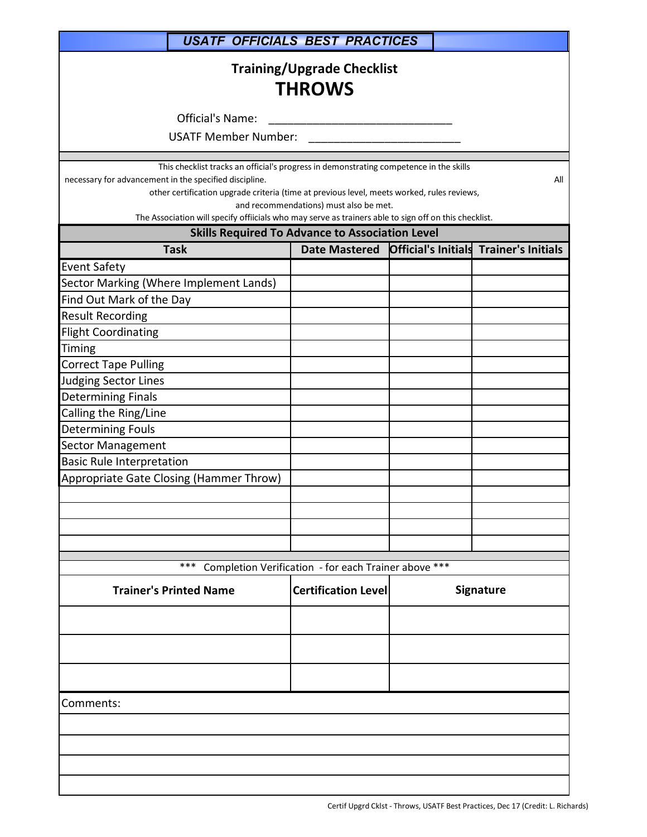| <b>USATF OFFICIALS BEST PRACTICES</b>                                                                                                                                                                                                                                                                                                                                                                             |                                                      |  |                                        |  |
|-------------------------------------------------------------------------------------------------------------------------------------------------------------------------------------------------------------------------------------------------------------------------------------------------------------------------------------------------------------------------------------------------------------------|------------------------------------------------------|--|----------------------------------------|--|
| <b>Training/Upgrade Checklist</b><br><b>THROWS</b>                                                                                                                                                                                                                                                                                                                                                                |                                                      |  |                                        |  |
| Official's Name:                                                                                                                                                                                                                                                                                                                                                                                                  |                                                      |  |                                        |  |
| <b>USATF Member Number:</b>                                                                                                                                                                                                                                                                                                                                                                                       |                                                      |  |                                        |  |
| This checklist tracks an official's progress in demonstrating competence in the skills<br>necessary for advancement in the specified discipline.<br>other certification upgrade criteria (time at previous level, meets worked, rules reviews,<br>The Association will specify offiicials who may serve as trainers able to sign off on this checklist.<br><b>Skills Required To Advance to Association Level</b> | and recommendations) must also be met.               |  | All                                    |  |
| <b>Task</b>                                                                                                                                                                                                                                                                                                                                                                                                       | <b>Date Mastered</b>                                 |  | Official's Initials Trainer's Initials |  |
| <b>Event Safety</b>                                                                                                                                                                                                                                                                                                                                                                                               |                                                      |  |                                        |  |
| Sector Marking (Where Implement Lands)                                                                                                                                                                                                                                                                                                                                                                            |                                                      |  |                                        |  |
| Find Out Mark of the Day                                                                                                                                                                                                                                                                                                                                                                                          |                                                      |  |                                        |  |
| <b>Result Recording</b>                                                                                                                                                                                                                                                                                                                                                                                           |                                                      |  |                                        |  |
| <b>Flight Coordinating</b>                                                                                                                                                                                                                                                                                                                                                                                        |                                                      |  |                                        |  |
| Timing                                                                                                                                                                                                                                                                                                                                                                                                            |                                                      |  |                                        |  |
| <b>Correct Tape Pulling</b>                                                                                                                                                                                                                                                                                                                                                                                       |                                                      |  |                                        |  |
| <b>Judging Sector Lines</b>                                                                                                                                                                                                                                                                                                                                                                                       |                                                      |  |                                        |  |
| <b>Determining Finals</b>                                                                                                                                                                                                                                                                                                                                                                                         |                                                      |  |                                        |  |
| Calling the Ring/Line                                                                                                                                                                                                                                                                                                                                                                                             |                                                      |  |                                        |  |
| <b>Determining Fouls</b><br><b>Sector Management</b>                                                                                                                                                                                                                                                                                                                                                              |                                                      |  |                                        |  |
| <b>Basic Rule Interpretation</b>                                                                                                                                                                                                                                                                                                                                                                                  |                                                      |  |                                        |  |
| Appropriate Gate Closing (Hammer Throw)                                                                                                                                                                                                                                                                                                                                                                           |                                                      |  |                                        |  |
|                                                                                                                                                                                                                                                                                                                                                                                                                   |                                                      |  |                                        |  |
|                                                                                                                                                                                                                                                                                                                                                                                                                   |                                                      |  |                                        |  |
|                                                                                                                                                                                                                                                                                                                                                                                                                   |                                                      |  |                                        |  |
|                                                                                                                                                                                                                                                                                                                                                                                                                   |                                                      |  |                                        |  |
|                                                                                                                                                                                                                                                                                                                                                                                                                   |                                                      |  |                                        |  |
| $***$                                                                                                                                                                                                                                                                                                                                                                                                             | Completion Verification - for each Trainer above *** |  |                                        |  |
| <b>Trainer's Printed Name</b>                                                                                                                                                                                                                                                                                                                                                                                     | <b>Certification Level</b>                           |  | Signature                              |  |
|                                                                                                                                                                                                                                                                                                                                                                                                                   |                                                      |  |                                        |  |
|                                                                                                                                                                                                                                                                                                                                                                                                                   |                                                      |  |                                        |  |
|                                                                                                                                                                                                                                                                                                                                                                                                                   |                                                      |  |                                        |  |
| Comments:                                                                                                                                                                                                                                                                                                                                                                                                         |                                                      |  |                                        |  |
|                                                                                                                                                                                                                                                                                                                                                                                                                   |                                                      |  |                                        |  |
|                                                                                                                                                                                                                                                                                                                                                                                                                   |                                                      |  |                                        |  |
|                                                                                                                                                                                                                                                                                                                                                                                                                   |                                                      |  |                                        |  |

ı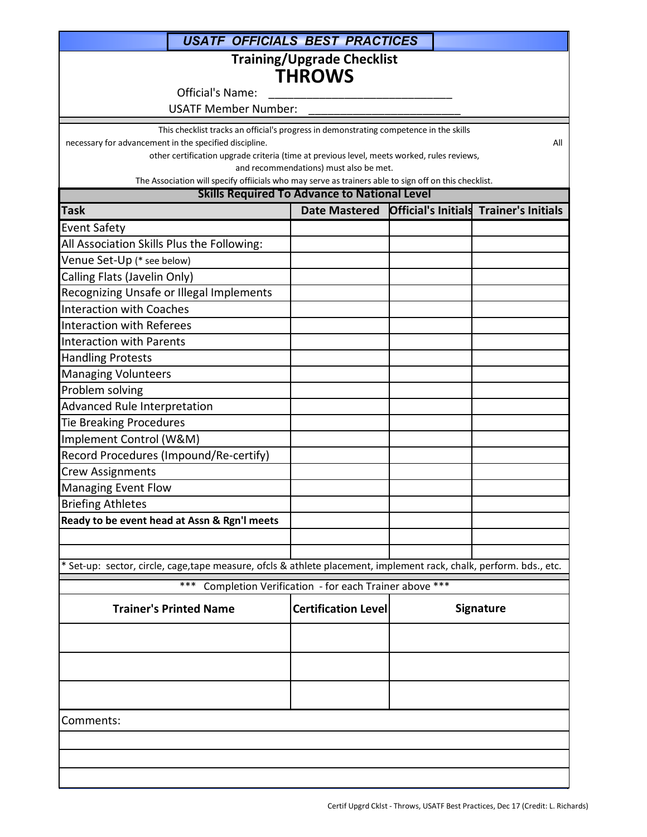| <b>USATF OFFICIALS BEST PRACTICES</b>                                                                                                            |                                                      |  |                                                      |
|--------------------------------------------------------------------------------------------------------------------------------------------------|------------------------------------------------------|--|------------------------------------------------------|
|                                                                                                                                                  | <b>Training/Upgrade Checklist</b>                    |  |                                                      |
|                                                                                                                                                  | <b>THROWS</b>                                        |  |                                                      |
| Official's Name:                                                                                                                                 |                                                      |  |                                                      |
| <b>USATF Member Number:</b>                                                                                                                      |                                                      |  |                                                      |
|                                                                                                                                                  |                                                      |  |                                                      |
| This checklist tracks an official's progress in demonstrating competence in the skills<br>necessary for advancement in the specified discipline. |                                                      |  | All                                                  |
| other certification upgrade criteria (time at previous level, meets worked, rules reviews,                                                       |                                                      |  |                                                      |
|                                                                                                                                                  | and recommendations) must also be met.               |  |                                                      |
| The Association will specify offiicials who may serve as trainers able to sign off on this checklist.                                            | <b>Skills Required To Advance to National Level</b>  |  |                                                      |
| <b>Task</b>                                                                                                                                      |                                                      |  | Date Mastered Official's Initials Trainer's Initials |
|                                                                                                                                                  |                                                      |  |                                                      |
| <b>Event Safety</b>                                                                                                                              |                                                      |  |                                                      |
| All Association Skills Plus the Following:                                                                                                       |                                                      |  |                                                      |
| Venue Set-Up (* see below)                                                                                                                       |                                                      |  |                                                      |
| Calling Flats (Javelin Only)                                                                                                                     |                                                      |  |                                                      |
| Recognizing Unsafe or Illegal Implements<br><b>Interaction with Coaches</b>                                                                      |                                                      |  |                                                      |
| <b>Interaction with Referees</b>                                                                                                                 |                                                      |  |                                                      |
| <b>Interaction with Parents</b>                                                                                                                  |                                                      |  |                                                      |
| <b>Handling Protests</b>                                                                                                                         |                                                      |  |                                                      |
| <b>Managing Volunteers</b>                                                                                                                       |                                                      |  |                                                      |
| Problem solving                                                                                                                                  |                                                      |  |                                                      |
| <b>Advanced Rule Interpretation</b>                                                                                                              |                                                      |  |                                                      |
| <b>Tie Breaking Procedures</b>                                                                                                                   |                                                      |  |                                                      |
| Implement Control (W&M)                                                                                                                          |                                                      |  |                                                      |
| Record Procedures (Impound/Re-certify)                                                                                                           |                                                      |  |                                                      |
| <b>Crew Assignments</b>                                                                                                                          |                                                      |  |                                                      |
| <b>Managing Event Flow</b>                                                                                                                       |                                                      |  |                                                      |
| <b>Briefing Athletes</b>                                                                                                                         |                                                      |  |                                                      |
| Ready to be event head at Assn & Rgn'l meets                                                                                                     |                                                      |  |                                                      |
|                                                                                                                                                  |                                                      |  |                                                      |
|                                                                                                                                                  |                                                      |  |                                                      |
| * Set-up: sector, circle, cage,tape measure, ofcls & athlete placement, implement rack, chalk, perform. bds., etc.                               |                                                      |  |                                                      |
| ***                                                                                                                                              | Completion Verification - for each Trainer above *** |  |                                                      |
|                                                                                                                                                  |                                                      |  |                                                      |
| <b>Trainer's Printed Name</b>                                                                                                                    | <b>Certification Level</b>                           |  | <b>Signature</b>                                     |
|                                                                                                                                                  |                                                      |  |                                                      |
|                                                                                                                                                  |                                                      |  |                                                      |
|                                                                                                                                                  |                                                      |  |                                                      |
| Comments:                                                                                                                                        |                                                      |  |                                                      |
|                                                                                                                                                  |                                                      |  |                                                      |
|                                                                                                                                                  |                                                      |  |                                                      |
|                                                                                                                                                  |                                                      |  |                                                      |
|                                                                                                                                                  |                                                      |  |                                                      |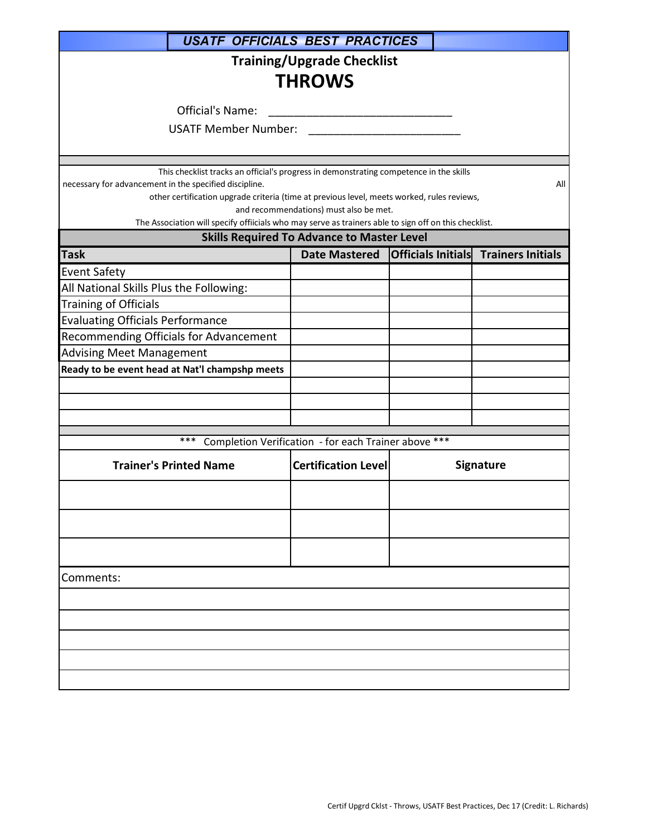| <b>USATE OFFICIALS BEST PRACTICES</b>                                                                                                                                                                                                                                                                                                                   |                                                      |  |                                             |  |  |  |
|---------------------------------------------------------------------------------------------------------------------------------------------------------------------------------------------------------------------------------------------------------------------------------------------------------------------------------------------------------|------------------------------------------------------|--|---------------------------------------------|--|--|--|
| <b>Training/Upgrade Checklist</b><br><b>THROWS</b>                                                                                                                                                                                                                                                                                                      |                                                      |  |                                             |  |  |  |
| <b>Official's Name:</b>                                                                                                                                                                                                                                                                                                                                 |                                                      |  |                                             |  |  |  |
| <b>USATF Member Number:</b>                                                                                                                                                                                                                                                                                                                             |                                                      |  |                                             |  |  |  |
|                                                                                                                                                                                                                                                                                                                                                         |                                                      |  |                                             |  |  |  |
| This checklist tracks an official's progress in demonstrating competence in the skills<br>necessary for advancement in the specified discipline.<br>other certification upgrade criteria (time at previous level, meets worked, rules reviews,<br>The Association will specify offiicials who may serve as trainers able to sign off on this checklist. | and recommendations) must also be met.               |  | All                                         |  |  |  |
|                                                                                                                                                                                                                                                                                                                                                         | <b>Skills Required To Advance to Master Level</b>    |  |                                             |  |  |  |
| <b>Task</b>                                                                                                                                                                                                                                                                                                                                             | <b>Date Mastered</b>                                 |  | <b>Officials Initials Trainers Initials</b> |  |  |  |
| <b>Event Safety</b>                                                                                                                                                                                                                                                                                                                                     |                                                      |  |                                             |  |  |  |
| All National Skills Plus the Following:                                                                                                                                                                                                                                                                                                                 |                                                      |  |                                             |  |  |  |
| <b>Training of Officials</b>                                                                                                                                                                                                                                                                                                                            |                                                      |  |                                             |  |  |  |
| <b>Evaluating Officials Performance</b>                                                                                                                                                                                                                                                                                                                 |                                                      |  |                                             |  |  |  |
| Recommending Officials for Advancement                                                                                                                                                                                                                                                                                                                  |                                                      |  |                                             |  |  |  |
| <b>Advising Meet Management</b>                                                                                                                                                                                                                                                                                                                         |                                                      |  |                                             |  |  |  |
| Ready to be event head at Nat'l champshp meets                                                                                                                                                                                                                                                                                                          |                                                      |  |                                             |  |  |  |
|                                                                                                                                                                                                                                                                                                                                                         |                                                      |  |                                             |  |  |  |
|                                                                                                                                                                                                                                                                                                                                                         |                                                      |  |                                             |  |  |  |
|                                                                                                                                                                                                                                                                                                                                                         |                                                      |  |                                             |  |  |  |
| ***                                                                                                                                                                                                                                                                                                                                                     | Completion Verification - for each Trainer above *** |  |                                             |  |  |  |
| <b>Trainer's Printed Name</b>                                                                                                                                                                                                                                                                                                                           | <b>Certification Level</b>                           |  | <b>Signature</b>                            |  |  |  |
|                                                                                                                                                                                                                                                                                                                                                         |                                                      |  |                                             |  |  |  |
|                                                                                                                                                                                                                                                                                                                                                         |                                                      |  |                                             |  |  |  |
|                                                                                                                                                                                                                                                                                                                                                         |                                                      |  |                                             |  |  |  |
| Comments:                                                                                                                                                                                                                                                                                                                                               |                                                      |  |                                             |  |  |  |
|                                                                                                                                                                                                                                                                                                                                                         |                                                      |  |                                             |  |  |  |
|                                                                                                                                                                                                                                                                                                                                                         |                                                      |  |                                             |  |  |  |
|                                                                                                                                                                                                                                                                                                                                                         |                                                      |  |                                             |  |  |  |
|                                                                                                                                                                                                                                                                                                                                                         |                                                      |  |                                             |  |  |  |
|                                                                                                                                                                                                                                                                                                                                                         |                                                      |  |                                             |  |  |  |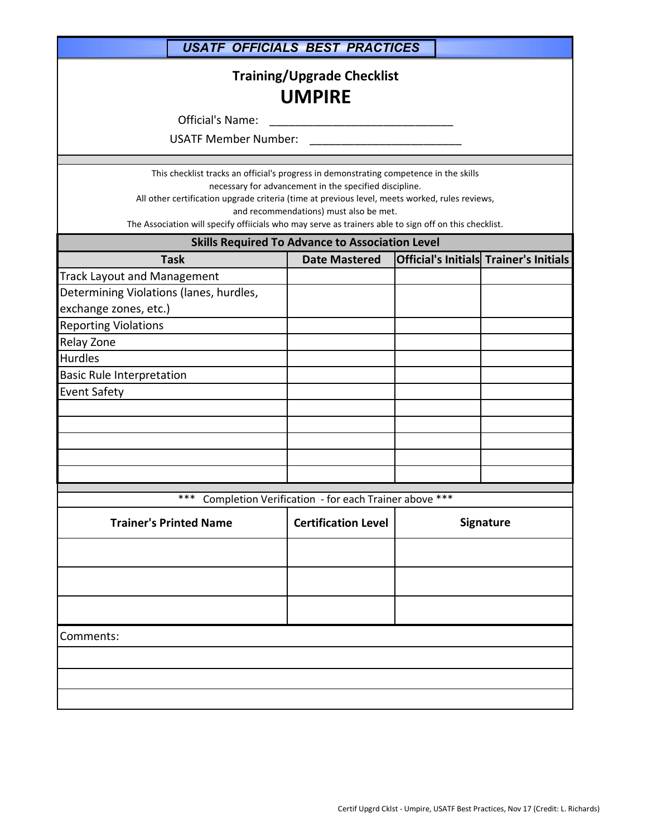|                                                                                                                                                                                                                                                                                                                                                                                                       | <b>USATF OFFICIALS BEST PRACTICES</b>                            |  |                                        |  |  |
|-------------------------------------------------------------------------------------------------------------------------------------------------------------------------------------------------------------------------------------------------------------------------------------------------------------------------------------------------------------------------------------------------------|------------------------------------------------------------------|--|----------------------------------------|--|--|
| <b>Training/Upgrade Checklist</b><br><b>UMPIRE</b>                                                                                                                                                                                                                                                                                                                                                    |                                                                  |  |                                        |  |  |
| Official's Name:                                                                                                                                                                                                                                                                                                                                                                                      | <u> 1980 - Jan James James Barnett, fransk politik (d. 1980)</u> |  |                                        |  |  |
| <b>USATF Member Number:</b>                                                                                                                                                                                                                                                                                                                                                                           |                                                                  |  |                                        |  |  |
| This checklist tracks an official's progress in demonstrating competence in the skills<br>necessary for advancement in the specified discipline.<br>All other certification upgrade criteria (time at previous level, meets worked, rules reviews,<br>and recommendations) must also be met.<br>The Association will specify offiicials who may serve as trainers able to sign off on this checklist. |                                                                  |  |                                        |  |  |
|                                                                                                                                                                                                                                                                                                                                                                                                       | <b>Skills Required To Advance to Association Level</b>           |  |                                        |  |  |
| <b>Task</b>                                                                                                                                                                                                                                                                                                                                                                                           | <b>Date Mastered</b>                                             |  | Official's Initials Trainer's Initials |  |  |
| <b>Track Layout and Management</b><br>Determining Violations (lanes, hurdles,<br>exchange zones, etc.)                                                                                                                                                                                                                                                                                                |                                                                  |  |                                        |  |  |
| <b>Reporting Violations</b>                                                                                                                                                                                                                                                                                                                                                                           |                                                                  |  |                                        |  |  |
| Relay Zone                                                                                                                                                                                                                                                                                                                                                                                            |                                                                  |  |                                        |  |  |
| <b>Hurdles</b>                                                                                                                                                                                                                                                                                                                                                                                        |                                                                  |  |                                        |  |  |
| <b>Basic Rule Interpretation</b>                                                                                                                                                                                                                                                                                                                                                                      |                                                                  |  |                                        |  |  |
| <b>Event Safety</b>                                                                                                                                                                                                                                                                                                                                                                                   |                                                                  |  |                                        |  |  |
|                                                                                                                                                                                                                                                                                                                                                                                                       |                                                                  |  |                                        |  |  |
|                                                                                                                                                                                                                                                                                                                                                                                                       |                                                                  |  |                                        |  |  |
|                                                                                                                                                                                                                                                                                                                                                                                                       |                                                                  |  |                                        |  |  |
| ***                                                                                                                                                                                                                                                                                                                                                                                                   | Completion Verification - for each Trainer above ***             |  |                                        |  |  |
| <b>Trainer's Printed Name</b>                                                                                                                                                                                                                                                                                                                                                                         | <b>Certification Level</b>                                       |  | <b>Signature</b>                       |  |  |
|                                                                                                                                                                                                                                                                                                                                                                                                       |                                                                  |  |                                        |  |  |
|                                                                                                                                                                                                                                                                                                                                                                                                       |                                                                  |  |                                        |  |  |
| Comments:                                                                                                                                                                                                                                                                                                                                                                                             |                                                                  |  |                                        |  |  |
|                                                                                                                                                                                                                                                                                                                                                                                                       |                                                                  |  |                                        |  |  |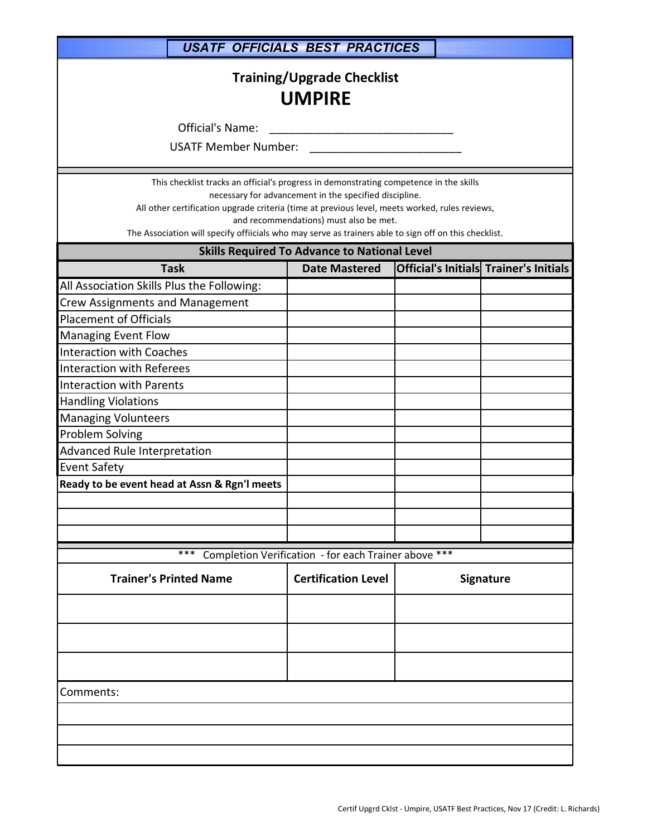| <b>USATF OFFICIALS BEST PRACTICES</b>                                                                                                                                                                                                                                                                                                                                                                                                                                     |                                                                                                  |  |  |                                               |  |
|---------------------------------------------------------------------------------------------------------------------------------------------------------------------------------------------------------------------------------------------------------------------------------------------------------------------------------------------------------------------------------------------------------------------------------------------------------------------------|--------------------------------------------------------------------------------------------------|--|--|-----------------------------------------------|--|
| <b>Training/Upgrade Checklist</b><br><b>UMPIRE</b><br><b>Official's Name:</b><br><b>USATF Member Number:</b>                                                                                                                                                                                                                                                                                                                                                              |                                                                                                  |  |  |                                               |  |
|                                                                                                                                                                                                                                                                                                                                                                                                                                                                           |                                                                                                  |  |  |                                               |  |
| This checklist tracks an official's progress in demonstrating competence in the skills<br>All other certification upgrade criteria (time at previous level, meets worked, rules reviews,<br>The Association will specify offiicials who may serve as trainers able to sign off on this checklist.                                                                                                                                                                         | necessary for advancement in the specified discipline.<br>and recommendations) must also be met. |  |  |                                               |  |
|                                                                                                                                                                                                                                                                                                                                                                                                                                                                           | <b>Skills Required To Advance to National Level</b>                                              |  |  |                                               |  |
| <b>Task</b><br>All Association Skills Plus the Following:<br><b>Crew Assignments and Management</b><br><b>Placement of Officials</b><br><b>Managing Event Flow</b><br><b>Interaction with Coaches</b><br><b>Interaction with Referees</b><br><b>Interaction with Parents</b><br><b>Handling Violations</b><br><b>Managing Volunteers</b><br><b>Problem Solving</b><br>Advanced Rule Interpretation<br><b>Event Safety</b><br>Ready to be event head at Assn & Rgn'l meets | <b>Date Mastered</b>                                                                             |  |  | <b>Official's Initials Trainer's Initials</b> |  |
|                                                                                                                                                                                                                                                                                                                                                                                                                                                                           |                                                                                                  |  |  |                                               |  |
| ***                                                                                                                                                                                                                                                                                                                                                                                                                                                                       | Completion Verification - for each Trainer above ***                                             |  |  |                                               |  |
| <b>Trainer's Printed Name</b>                                                                                                                                                                                                                                                                                                                                                                                                                                             | <b>Certification Level</b>                                                                       |  |  | Signature                                     |  |
|                                                                                                                                                                                                                                                                                                                                                                                                                                                                           |                                                                                                  |  |  |                                               |  |
| Comments:                                                                                                                                                                                                                                                                                                                                                                                                                                                                 |                                                                                                  |  |  |                                               |  |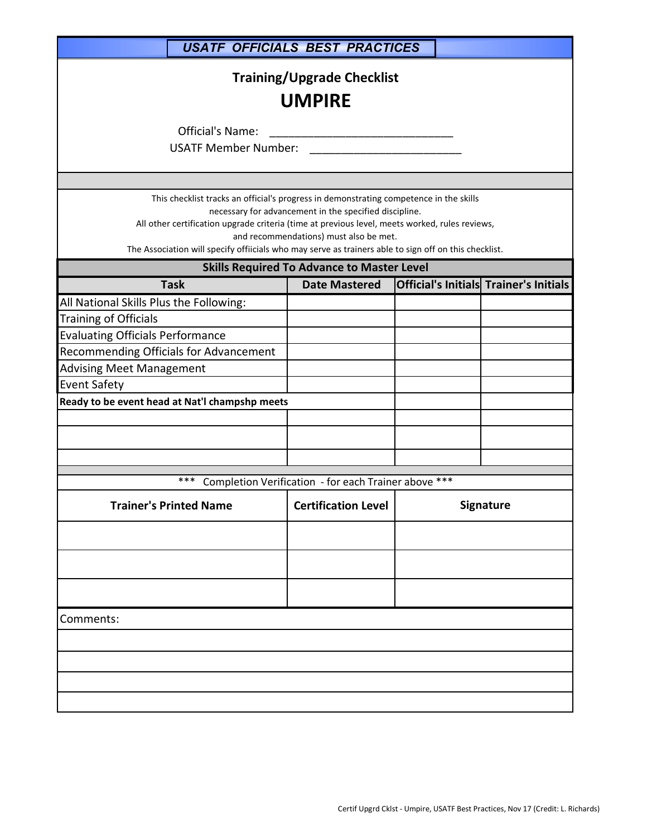| <b>USATF OFFICIALS BEST PRACTICES</b>                                                                                                                                                                                                                                                             |                                                                                                  |  |                                               |  |  |
|---------------------------------------------------------------------------------------------------------------------------------------------------------------------------------------------------------------------------------------------------------------------------------------------------|--------------------------------------------------------------------------------------------------|--|-----------------------------------------------|--|--|
|                                                                                                                                                                                                                                                                                                   | <b>Training/Upgrade Checklist</b><br><b>UMPIRE</b>                                               |  |                                               |  |  |
| Official's Name:                                                                                                                                                                                                                                                                                  |                                                                                                  |  |                                               |  |  |
| <b>USATF Member Number:</b>                                                                                                                                                                                                                                                                       |                                                                                                  |  |                                               |  |  |
|                                                                                                                                                                                                                                                                                                   |                                                                                                  |  |                                               |  |  |
|                                                                                                                                                                                                                                                                                                   |                                                                                                  |  |                                               |  |  |
| This checklist tracks an official's progress in demonstrating competence in the skills<br>All other certification upgrade criteria (time at previous level, meets worked, rules reviews,<br>The Association will specify offiicials who may serve as trainers able to sign off on this checklist. | necessary for advancement in the specified discipline.<br>and recommendations) must also be met. |  |                                               |  |  |
|                                                                                                                                                                                                                                                                                                   | <b>Skills Required To Advance to Master Level</b>                                                |  |                                               |  |  |
| <b>Task</b>                                                                                                                                                                                                                                                                                       | <b>Date Mastered</b>                                                                             |  | <b>Official's Initials Trainer's Initials</b> |  |  |
| All National Skills Plus the Following:                                                                                                                                                                                                                                                           |                                                                                                  |  |                                               |  |  |
| Training of Officials                                                                                                                                                                                                                                                                             |                                                                                                  |  |                                               |  |  |
| <b>Evaluating Officials Performance</b>                                                                                                                                                                                                                                                           |                                                                                                  |  |                                               |  |  |
| Recommending Officials for Advancement                                                                                                                                                                                                                                                            |                                                                                                  |  |                                               |  |  |
| <b>Advising Meet Management</b>                                                                                                                                                                                                                                                                   |                                                                                                  |  |                                               |  |  |
| <b>Event Safety</b>                                                                                                                                                                                                                                                                               |                                                                                                  |  |                                               |  |  |
| Ready to be event head at Nat'l champshp meets                                                                                                                                                                                                                                                    |                                                                                                  |  |                                               |  |  |
|                                                                                                                                                                                                                                                                                                   |                                                                                                  |  |                                               |  |  |
|                                                                                                                                                                                                                                                                                                   |                                                                                                  |  |                                               |  |  |
|                                                                                                                                                                                                                                                                                                   |                                                                                                  |  |                                               |  |  |
| ***                                                                                                                                                                                                                                                                                               | Completion Verification - for each Trainer above ***                                             |  |                                               |  |  |
|                                                                                                                                                                                                                                                                                                   |                                                                                                  |  |                                               |  |  |
| <b>Trainer's Printed Name</b>                                                                                                                                                                                                                                                                     | <b>Certification Level</b>                                                                       |  | <b>Signature</b>                              |  |  |
|                                                                                                                                                                                                                                                                                                   |                                                                                                  |  |                                               |  |  |
|                                                                                                                                                                                                                                                                                                   |                                                                                                  |  |                                               |  |  |
|                                                                                                                                                                                                                                                                                                   |                                                                                                  |  |                                               |  |  |
|                                                                                                                                                                                                                                                                                                   |                                                                                                  |  |                                               |  |  |
|                                                                                                                                                                                                                                                                                                   |                                                                                                  |  |                                               |  |  |
| Comments:                                                                                                                                                                                                                                                                                         |                                                                                                  |  |                                               |  |  |
|                                                                                                                                                                                                                                                                                                   |                                                                                                  |  |                                               |  |  |
|                                                                                                                                                                                                                                                                                                   |                                                                                                  |  |                                               |  |  |
|                                                                                                                                                                                                                                                                                                   |                                                                                                  |  |                                               |  |  |
|                                                                                                                                                                                                                                                                                                   |                                                                                                  |  |                                               |  |  |
|                                                                                                                                                                                                                                                                                                   |                                                                                                  |  |                                               |  |  |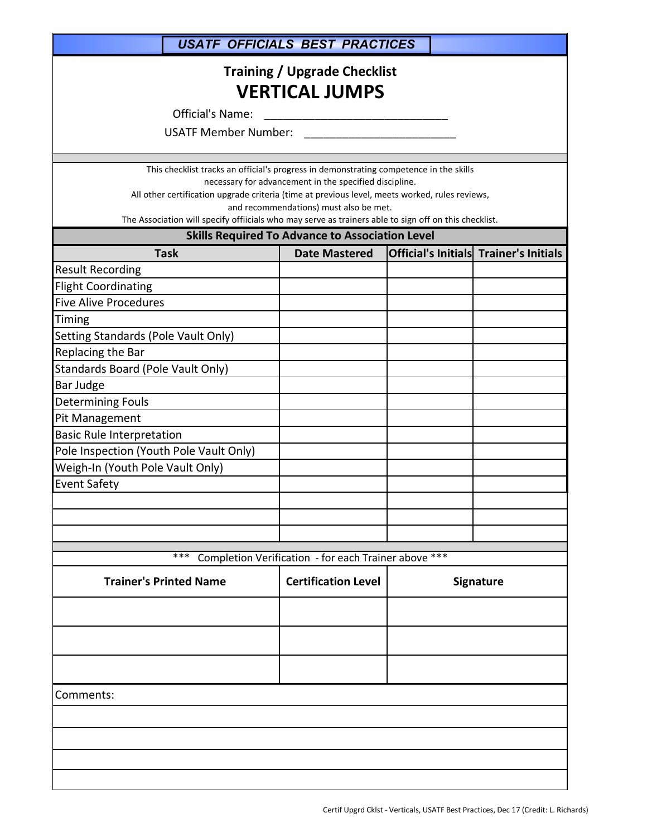*USATF OFFICIALS BEST PRACTICES*

## **Training / Upgrade Checklist VERTICAL JUMPS**

Official's Name: \_\_\_\_\_\_\_\_\_\_\_\_\_\_\_\_\_\_\_\_\_\_\_\_\_\_\_\_\_

USATF Member Number: \_\_\_\_\_\_\_\_\_\_\_\_\_\_\_\_\_\_\_\_\_\_\_\_

This checklist tracks an official's progress in demonstrating competence in the skills

necessary for advancement in the specified discipline.

All other certification upgrade criteria (time at previous level, meets worked, rules reviews, and recommendations) must also be met.

The Association will specify offiicials who may serve as trainers able to sign off on this checklist.

## **Skills Required To Advance to Association Level**

| <b>Task</b>                             | <b>Date Mastered</b>                                 |           | Official's Initials Trainer's Initials |
|-----------------------------------------|------------------------------------------------------|-----------|----------------------------------------|
| <b>Result Recording</b>                 |                                                      |           |                                        |
| <b>Flight Coordinating</b>              |                                                      |           |                                        |
| <b>Five Alive Procedures</b>            |                                                      |           |                                        |
| Timing                                  |                                                      |           |                                        |
| Setting Standards (Pole Vault Only)     |                                                      |           |                                        |
| Replacing the Bar                       |                                                      |           |                                        |
| Standards Board (Pole Vault Only)       |                                                      |           |                                        |
| Bar Judge                               |                                                      |           |                                        |
| <b>Determining Fouls</b>                |                                                      |           |                                        |
| Pit Management                          |                                                      |           |                                        |
| <b>Basic Rule Interpretation</b>        |                                                      |           |                                        |
| Pole Inspection (Youth Pole Vault Only) |                                                      |           |                                        |
| Weigh-In (Youth Pole Vault Only)        |                                                      |           |                                        |
| <b>Event Safety</b>                     |                                                      |           |                                        |
|                                         |                                                      |           |                                        |
|                                         |                                                      |           |                                        |
|                                         |                                                      |           |                                        |
| ***                                     | Completion Verification - for each Trainer above *** |           |                                        |
|                                         |                                                      |           |                                        |
| <b>Trainer's Printed Name</b>           | <b>Certification Level</b>                           | Signature |                                        |
|                                         |                                                      |           |                                        |
|                                         |                                                      |           |                                        |
|                                         |                                                      |           |                                        |
| Comments:                               |                                                      |           |                                        |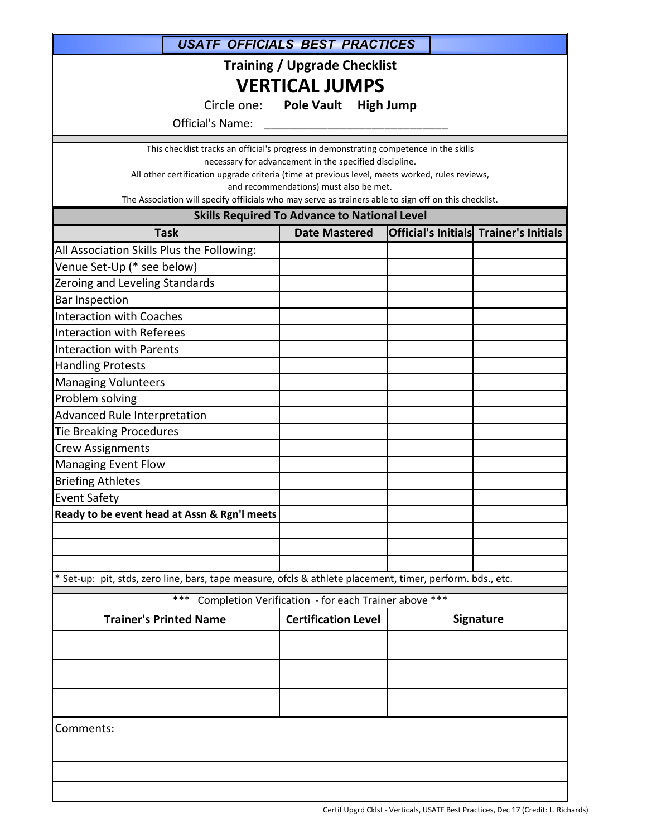| <b>USATF OFFICIALS BEST PRACTICES</b>                                                                                                    |                                                        |           |                                        |  |  |
|------------------------------------------------------------------------------------------------------------------------------------------|--------------------------------------------------------|-----------|----------------------------------------|--|--|
| <b>Training / Upgrade Checklist</b>                                                                                                      |                                                        |           |                                        |  |  |
| <b>VERTICAL JUMPS</b>                                                                                                                    |                                                        |           |                                        |  |  |
| Circle one: Pole Vault<br><b>High Jump</b>                                                                                               |                                                        |           |                                        |  |  |
| Official's Name:                                                                                                                         |                                                        |           |                                        |  |  |
| This checklist tracks an official's progress in demonstrating competence in the skills                                                   |                                                        |           |                                        |  |  |
|                                                                                                                                          | necessary for advancement in the specified discipline. |           |                                        |  |  |
| All other certification upgrade criteria (time at previous level, meets worked, rules reviews,<br>and recommendations) must also be met. |                                                        |           |                                        |  |  |
| The Association will specify offiicials who may serve as trainers able to sign off on this checklist.                                    |                                                        |           |                                        |  |  |
|                                                                                                                                          | <b>Skills Required To Advance to National Level</b>    |           |                                        |  |  |
| <b>Task</b>                                                                                                                              | <b>Date Mastered</b>                                   |           | Official's Initials Trainer's Initials |  |  |
| All Association Skills Plus the Following:                                                                                               |                                                        |           |                                        |  |  |
| Venue Set-Up (* see below)                                                                                                               |                                                        |           |                                        |  |  |
| Zeroing and Leveling Standards                                                                                                           |                                                        |           |                                        |  |  |
| <b>Bar Inspection</b>                                                                                                                    |                                                        |           |                                        |  |  |
| <b>Interaction with Coaches</b>                                                                                                          |                                                        |           |                                        |  |  |
| <b>Interaction with Referees</b>                                                                                                         |                                                        |           |                                        |  |  |
| <b>Interaction with Parents</b>                                                                                                          |                                                        |           |                                        |  |  |
| <b>Handling Protests</b><br><b>Managing Volunteers</b>                                                                                   |                                                        |           |                                        |  |  |
| Problem solving                                                                                                                          |                                                        |           |                                        |  |  |
| Advanced Rule Interpretation                                                                                                             |                                                        |           |                                        |  |  |
| <b>Tie Breaking Procedures</b>                                                                                                           |                                                        |           |                                        |  |  |
| <b>Crew Assignments</b>                                                                                                                  |                                                        |           |                                        |  |  |
| <b>Managing Event Flow</b>                                                                                                               |                                                        |           |                                        |  |  |
| <b>Briefing Athletes</b>                                                                                                                 |                                                        |           |                                        |  |  |
| <b>Event Safety</b>                                                                                                                      |                                                        |           |                                        |  |  |
| Ready to be event head at Assn & Rgn'l meets                                                                                             |                                                        |           |                                        |  |  |
|                                                                                                                                          |                                                        |           |                                        |  |  |
|                                                                                                                                          |                                                        |           |                                        |  |  |
|                                                                                                                                          |                                                        |           |                                        |  |  |
| * Set-up: pit, stds, zero line, bars, tape measure, ofcls & athlete placement, timer, perform. bds., etc.                                |                                                        |           |                                        |  |  |
| ***                                                                                                                                      | Completion Verification - for each Trainer above ***   |           |                                        |  |  |
| <b>Trainer's Printed Name</b>                                                                                                            | <b>Certification Level</b>                             | Signature |                                        |  |  |
|                                                                                                                                          |                                                        |           |                                        |  |  |
|                                                                                                                                          |                                                        |           |                                        |  |  |
|                                                                                                                                          |                                                        |           |                                        |  |  |
|                                                                                                                                          |                                                        |           |                                        |  |  |
|                                                                                                                                          |                                                        |           |                                        |  |  |
| Comments:                                                                                                                                |                                                        |           |                                        |  |  |
|                                                                                                                                          |                                                        |           |                                        |  |  |
|                                                                                                                                          |                                                        |           |                                        |  |  |
|                                                                                                                                          |                                                        |           |                                        |  |  |
|                                                                                                                                          |                                                        |           |                                        |  |  |